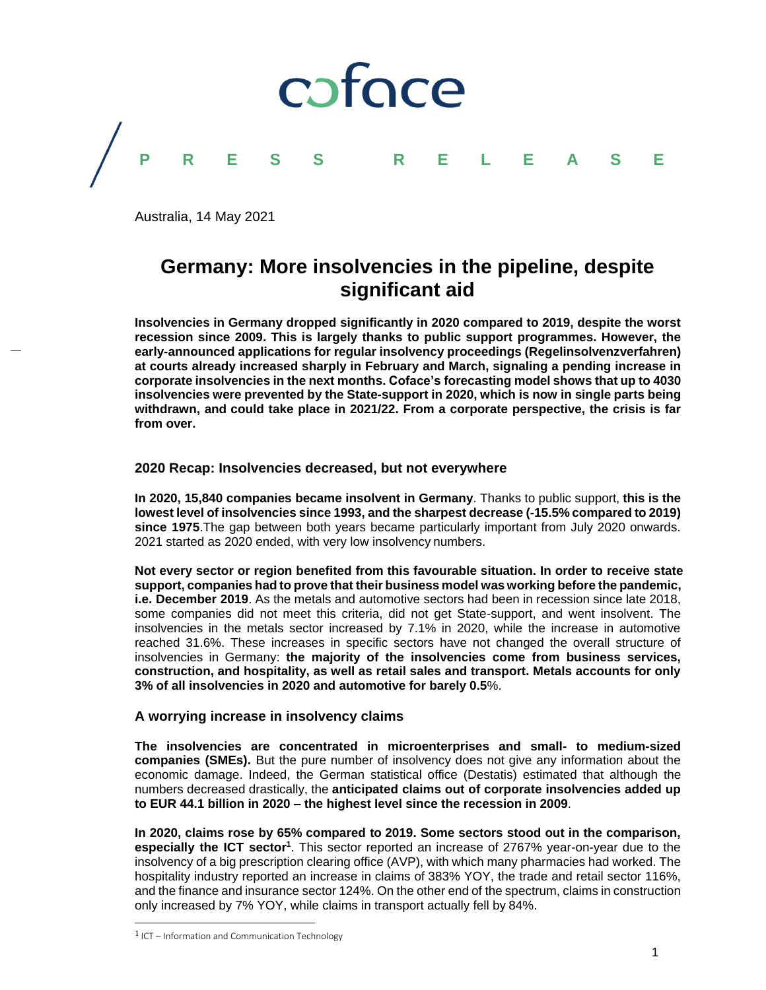

Australia, 14 May 2021

# **Germany: More insolvencies in the pipeline, despite significant aid**

**Insolvencies in Germany dropped significantly in 2020 compared to 2019, despite the worst recession since 2009. This is largely thanks to public support programmes. However, the early-announced applications for regular insolvency proceedings (Regelinsolvenzverfahren) at courts already increased sharply in February and March, signaling a pending increase in corporate insolvencies in the next months. Coface's forecasting model shows that up to 4030 insolvencies were prevented by the State-support in 2020, which is now in single parts being withdrawn, and could take place in 2021/22. From a corporate perspective, the crisis is far from over.**

## **2020 Recap: Insolvencies decreased, but not everywhere**

**In 2020, 15,840 companies became insolvent in Germany**. Thanks to public support, **this is the lowest level of insolvencies since 1993, and the sharpest decrease (-15.5% compared to 2019) since 1975**.The gap between both years became particularly important from July 2020 onwards. 2021 started as 2020 ended, with very low insolvency numbers.

**Not every sector or region benefited from this favourable situation. In order to receive state support, companies had to prove that their business model was working before the pandemic, i.e. December 2019**. As the metals and automotive sectors had been in recession since late 2018, some companies did not meet this criteria, did not get State-support, and went insolvent. The insolvencies in the metals sector increased by 7.1% in 2020, while the increase in automotive reached 31.6%. These increases in specific sectors have not changed the overall structure of insolvencies in Germany: **the majority of the insolvencies come from business services, construction, and hospitality, as well as retail sales and transport. Metals accounts for only 3% of all insolvencies in 2020 and automotive for barely 0.5**%.

# **A worrying increase in insolvency claims**

**The insolvencies are concentrated in microenterprises and small- to medium-sized companies (SMEs).** But the pure number of insolvency does not give any information about the economic damage. Indeed, the German statistical office (Destatis) estimated that although the numbers decreased drastically, the **anticipated claims out of corporate insolvencies added up to EUR 44.1 billion in 2020 – the highest level since the recession in 2009**.

**In 2020, claims rose by 65% compared to 2019. Some sectors stood out in the comparison,**  especially the ICT sector<sup>1</sup>. This sector reported an increase of 2767% year-on-year due to the insolvency of a big prescription clearing office (AVP), with which many pharmacies had worked. The hospitality industry reported an increase in claims of 383% YOY, the trade and retail sector 116%, and the finance and insurance sector 124%. On the other end of the spectrum, claims in construction only increased by 7% YOY, while claims in transport actually fell by 84%.

 $1$  ICT – Information and Communication Technology